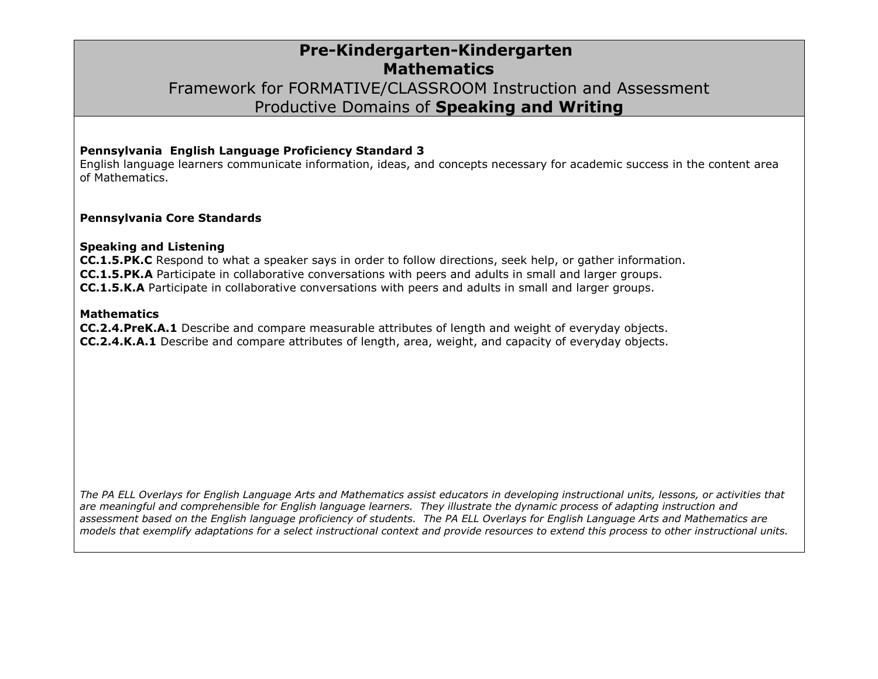### **Pre-Kindergarten-Kindergarten Mathematics** Framework for FORMATIVE/CLASSROOM Instruction and Assessment Productive Domains of **Speaking and Writing**

#### **Pennsylvania English Language Proficiency Standard 3**

English language learners communicate information, ideas, and concepts necessary for academic success in the content area of Mathematics.

#### **Pennsylvania Core Standards**

#### **Speaking and Listening**

**CC.1.5.PK.C** Respond to what a speaker says in order to follow directions, seek help, or gather information. **CC.1.5.PK.A** Participate in collaborative conversations with peers and adults in small and larger groups. **CC.1.5.K.A** Participate in collaborative conversations with peers and adults in small and larger groups.

#### **Mathematics**

**CC.2.4.PreK.A.1** Describe and compare measurable attributes of length and weight of everyday objects. **CC.2.4.K.A.1** Describe and compare attributes of length, area, weight, and capacity of everyday objects.

*The PA ELL Overlays for English Language Arts and Mathematics assist educators in developing instructional units, lessons, or activities that are meaningful and comprehensible for English language learners. They illustrate the dynamic process of adapting instruction and assessment based on the English language proficiency of students. The PA ELL Overlays for English Language Arts and Mathematics are models that exemplify adaptations for a select instructional context and provide resources to extend this process to other instructional units.*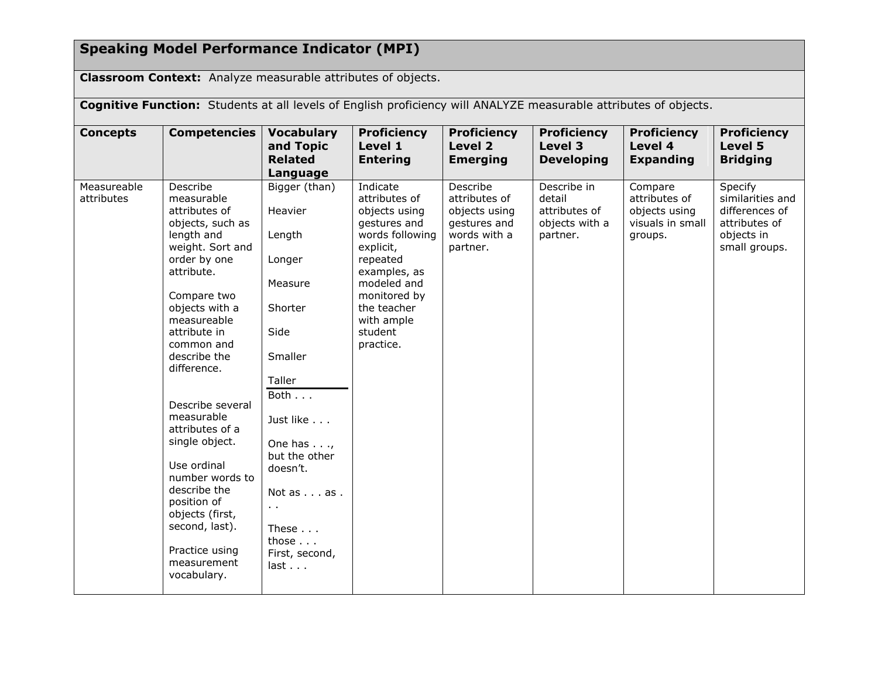# **Speaking Model Performance Indicator (MPI)**

**Classroom Context:** Analyze measurable attributes of objects.

**Cognitive Function:** Students at all levels of English proficiency will ANALYZE measurable attributes of objects.

| <b>Concepts</b>           | <b>Competencies</b>                                                                                                                                                                                                                                                                                                                                                                                                                                                   | <b>Vocabulary</b><br>and Topic<br><b>Related</b><br>Language                                                                                                                                                                                                          | <b>Proficiency</b><br>Level 1<br><b>Entering</b>                                                                                                                                                           | <b>Proficiency</b><br>Level 2<br><b>Emerging</b>                                       | <b>Proficiency</b><br>Level 3<br><b>Developing</b>                   | <b>Proficiency</b><br>Level 4<br><b>Expanding</b>                        | <b>Proficiency</b><br>Level 5<br><b>Bridging</b>                                              |
|---------------------------|-----------------------------------------------------------------------------------------------------------------------------------------------------------------------------------------------------------------------------------------------------------------------------------------------------------------------------------------------------------------------------------------------------------------------------------------------------------------------|-----------------------------------------------------------------------------------------------------------------------------------------------------------------------------------------------------------------------------------------------------------------------|------------------------------------------------------------------------------------------------------------------------------------------------------------------------------------------------------------|----------------------------------------------------------------------------------------|----------------------------------------------------------------------|--------------------------------------------------------------------------|-----------------------------------------------------------------------------------------------|
| Measureable<br>attributes | Describe<br>measurable<br>attributes of<br>objects, such as<br>length and<br>weight. Sort and<br>order by one<br>attribute.<br>Compare two<br>objects with a<br>measureable<br>attribute in<br>common and<br>describe the<br>difference.<br>Describe several<br>measurable<br>attributes of a<br>single object.<br>Use ordinal<br>number words to<br>describe the<br>position of<br>objects (first,<br>second, last).<br>Practice using<br>measurement<br>vocabulary. | Bigger (than)<br>Heavier<br>Length<br>Longer<br>Measure<br>Shorter<br>Side<br>Smaller<br>Taller<br>Both $\ldots$<br>Just like<br>One has $\ldots$ ,<br>but the other<br>doesn't.<br>Not as as .<br>$\sim$ $\sim$<br>These<br>those $\ldots$<br>First, second,<br>last | Indicate<br>attributes of<br>objects using<br>gestures and<br>words following<br>explicit,<br>repeated<br>examples, as<br>modeled and<br>monitored by<br>the teacher<br>with ample<br>student<br>practice. | Describe<br>attributes of<br>objects using<br>gestures and<br>words with a<br>partner. | Describe in<br>detail<br>attributes of<br>objects with a<br>partner. | Compare<br>attributes of<br>objects using<br>visuals in small<br>groups. | Specify<br>similarities and<br>differences of<br>attributes of<br>objects in<br>small groups. |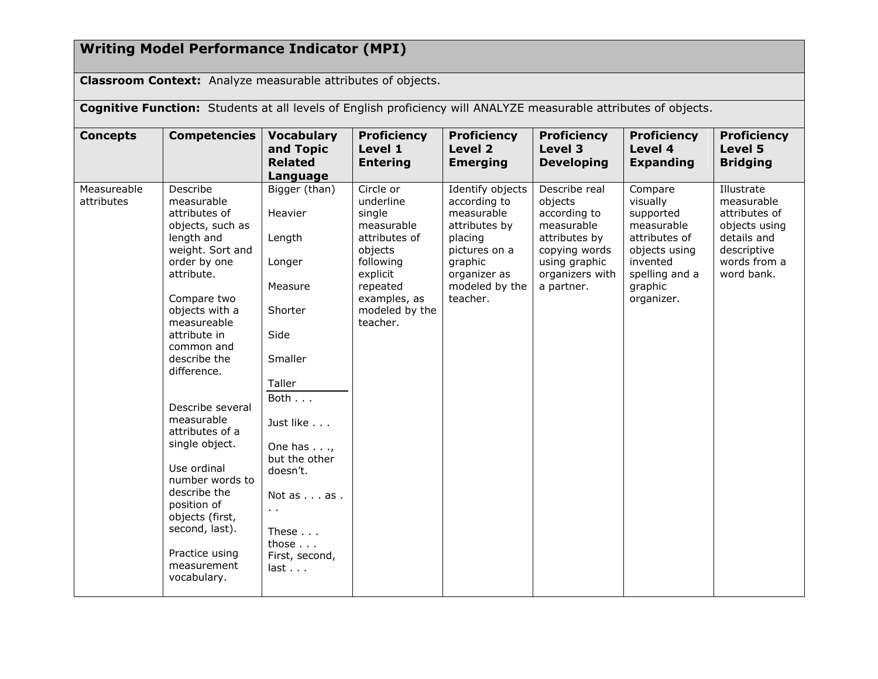# **Writing Model Performance Indicator (MPI)**

**Classroom Context:** Analyze measurable attributes of objects.

**Cognitive Function:** Students at all levels of English proficiency will ANALYZE measurable attributes of objects.

| <b>Concepts</b>           | <b>Competencies</b>                                                                                                                                                                                                                                                                                                                                                                                                                                                   | <b>Vocabulary</b><br>and Topic<br><b>Related</b><br>Language                                                                                                                                                                                                      | <b>Proficiency</b><br>Level 1<br><b>Entering</b>                                                                                                              | <b>Proficiency</b><br>Level 2<br><b>Emerging</b>                                                                                                     | <b>Proficiency</b><br>Level 3<br><b>Developing</b>                                                                                         | <b>Proficiency</b><br>Level 4<br><b>Expanding</b>                                                                                       | <b>Proficiency</b><br>Level 5<br><b>Bridging</b>                                                                       |
|---------------------------|-----------------------------------------------------------------------------------------------------------------------------------------------------------------------------------------------------------------------------------------------------------------------------------------------------------------------------------------------------------------------------------------------------------------------------------------------------------------------|-------------------------------------------------------------------------------------------------------------------------------------------------------------------------------------------------------------------------------------------------------------------|---------------------------------------------------------------------------------------------------------------------------------------------------------------|------------------------------------------------------------------------------------------------------------------------------------------------------|--------------------------------------------------------------------------------------------------------------------------------------------|-----------------------------------------------------------------------------------------------------------------------------------------|------------------------------------------------------------------------------------------------------------------------|
| Measureable<br>attributes | Describe<br>measurable<br>attributes of<br>objects, such as<br>length and<br>weight. Sort and<br>order by one<br>attribute.<br>Compare two<br>objects with a<br>measureable<br>attribute in<br>common and<br>describe the<br>difference.<br>Describe several<br>measurable<br>attributes of a<br>single object.<br>Use ordinal<br>number words to<br>describe the<br>position of<br>objects (first,<br>second, last).<br>Practice using<br>measurement<br>vocabulary. | Bigger (than)<br>Heavier<br>Length<br>Longer<br>Measure<br>Shorter<br>Side<br>Smaller<br>Taller<br>Both<br>Just like<br>One has $\ldots$<br>but the other<br>doesn't.<br>Not as as .<br>$\sim$<br>These $\ldots$<br>those $\ldots$<br>First, second,<br>$last.$ . | Circle or<br>underline<br>single<br>measurable<br>attributes of<br>objects<br>following<br>explicit<br>repeated<br>examples, as<br>modeled by the<br>teacher. | Identify objects<br>according to<br>measurable<br>attributes by<br>placing<br>pictures on a<br>graphic<br>organizer as<br>modeled by the<br>teacher. | Describe real<br>objects<br>according to<br>measurable<br>attributes by<br>copying words<br>using graphic<br>organizers with<br>a partner. | Compare<br>visually<br>supported<br>measurable<br>attributes of<br>objects using<br>invented<br>spelling and a<br>graphic<br>organizer. | Illustrate<br>measurable<br>attributes of<br>objects using<br>details and<br>descriptive<br>words from a<br>word bank. |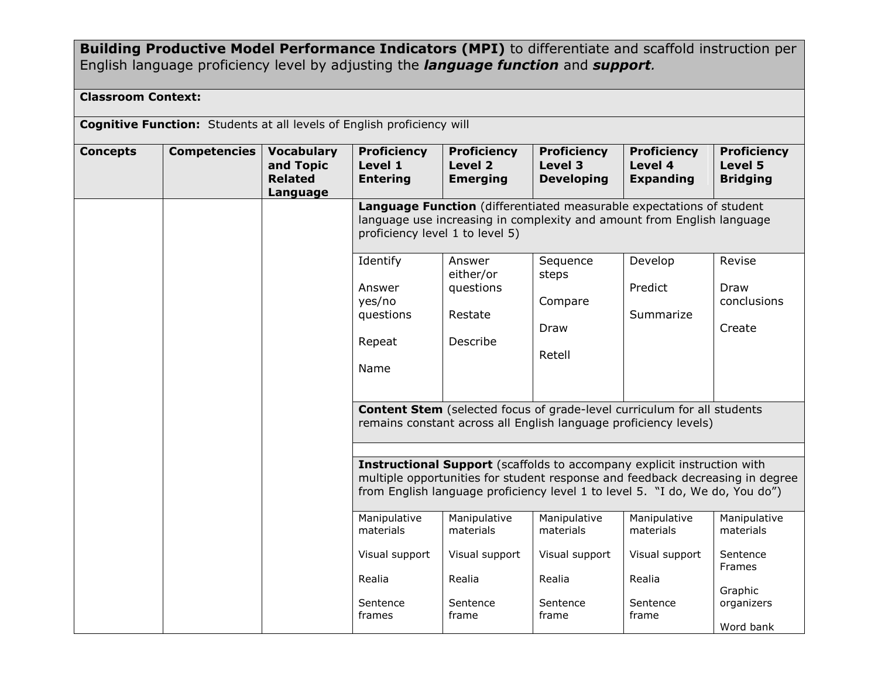**Building Productive Model Performance Indicators (MPI)** to differentiate and scaffold instruction per English language proficiency level by adjusting the *language function* and *support.*

### **Classroom Context:**

**Cognitive Function:** Students at all levels of English proficiency will

| <b>Concepts</b> | <b>Competencies</b> | <b>Vocabulary</b><br>and Topic<br><b>Related</b><br>Language | <b>Proficiency</b><br>Level 1<br><b>Entering</b> | <b>Proficiency</b><br>Level 2<br><b>Emerging</b> | <b>Proficiency</b><br>Level 3<br><b>Developing</b>                                                                                                                                                                                              | <b>Proficiency</b><br>Level 4<br><b>Expanding</b> | <b>Proficiency</b><br>Level 5<br><b>Bridging</b> |
|-----------------|---------------------|--------------------------------------------------------------|--------------------------------------------------|--------------------------------------------------|-------------------------------------------------------------------------------------------------------------------------------------------------------------------------------------------------------------------------------------------------|---------------------------------------------------|--------------------------------------------------|
|                 |                     |                                                              | proficiency level 1 to level 5)                  |                                                  | Language Function (differentiated measurable expectations of student<br>language use increasing in complexity and amount from English language                                                                                                  |                                                   |                                                  |
|                 |                     |                                                              | Identify<br>Answer                               | Answer<br>either/or<br>questions                 | Sequence<br>steps                                                                                                                                                                                                                               | Develop<br>Predict                                | Revise<br>Draw                                   |
|                 |                     |                                                              | yes/no<br>questions                              | Restate                                          | Compare<br>Draw                                                                                                                                                                                                                                 | Summarize                                         | conclusions<br>Create                            |
|                 |                     |                                                              | Repeat<br>Name                                   | Describe                                         | Retell                                                                                                                                                                                                                                          |                                                   |                                                  |
|                 |                     |                                                              |                                                  |                                                  |                                                                                                                                                                                                                                                 |                                                   |                                                  |
|                 |                     |                                                              |                                                  |                                                  | <b>Content Stem</b> (selected focus of grade-level curriculum for all students<br>remains constant across all English language proficiency levels)                                                                                              |                                                   |                                                  |
|                 |                     |                                                              |                                                  |                                                  |                                                                                                                                                                                                                                                 |                                                   |                                                  |
|                 |                     |                                                              |                                                  |                                                  | <b>Instructional Support</b> (scaffolds to accompany explicit instruction with<br>multiple opportunities for student response and feedback decreasing in degree<br>from English language proficiency level 1 to level 5. "I do, We do, You do") |                                                   |                                                  |
|                 |                     |                                                              | Manipulative<br>materials                        | Manipulative<br>materials                        | Manipulative<br>materials                                                                                                                                                                                                                       | Manipulative<br>materials                         | Manipulative<br>materials                        |
|                 |                     |                                                              | Visual support                                   | Visual support                                   | Visual support                                                                                                                                                                                                                                  | Visual support                                    | Sentence<br><b>Frames</b>                        |
|                 |                     |                                                              | Realia                                           | Realia                                           | Realia                                                                                                                                                                                                                                          | Realia                                            | Graphic                                          |
|                 |                     |                                                              | Sentence<br>frames                               | Sentence<br>frame                                | Sentence<br>frame                                                                                                                                                                                                                               | Sentence<br>frame                                 | organizers                                       |
|                 |                     |                                                              |                                                  |                                                  |                                                                                                                                                                                                                                                 |                                                   | Word bank                                        |